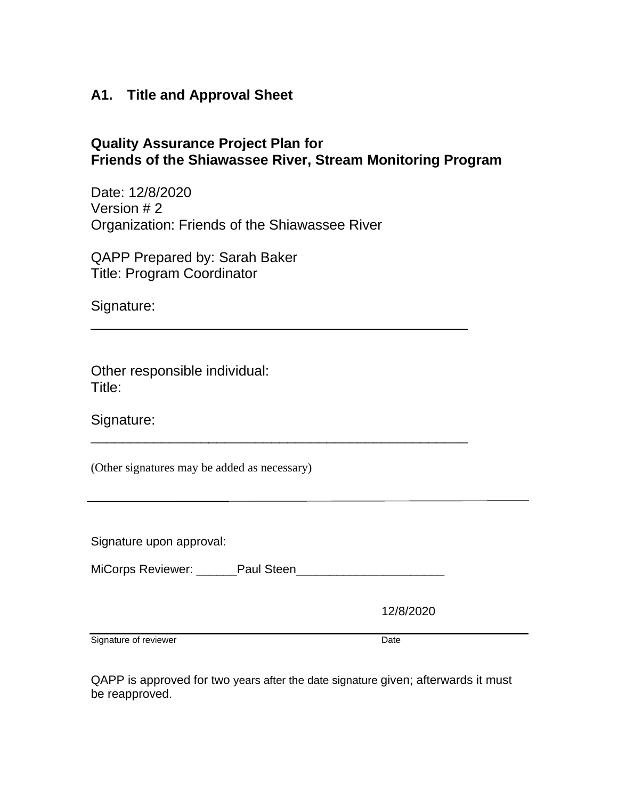# **A1. Title and Approval Sheet**

# **Quality Assurance Project Plan for Friends of the Shiawassee River, Stream Monitoring Program**

\_\_\_\_\_\_\_\_\_\_\_\_\_\_\_\_\_\_\_\_\_\_\_\_\_\_\_\_\_\_\_\_\_\_\_\_\_\_\_\_\_\_\_\_\_\_\_\_

\_\_\_\_\_\_\_\_\_\_\_\_\_\_\_\_\_\_\_\_\_\_\_\_\_\_\_\_\_\_\_\_\_\_\_\_\_\_\_\_\_\_\_\_\_\_\_\_

Date: 12/8/2020 Version # 2 Organization: Friends of the Shiawassee River

QAPP Prepared by: Sarah Baker Title: Program Coordinator

Signature:

Other responsible individual: Title:

Signature:

(Other signatures may be added as necessary)

Signature upon approval:

MiCorps Reviewer: \_\_\_\_\_\_Paul Steen\_\_\_\_\_\_\_\_\_\_\_\_\_\_\_\_\_\_\_\_\_\_

12/8/2020

Signature of reviewer Date

QAPP is approved for two years after the date signature given; afterwards it must be reapproved.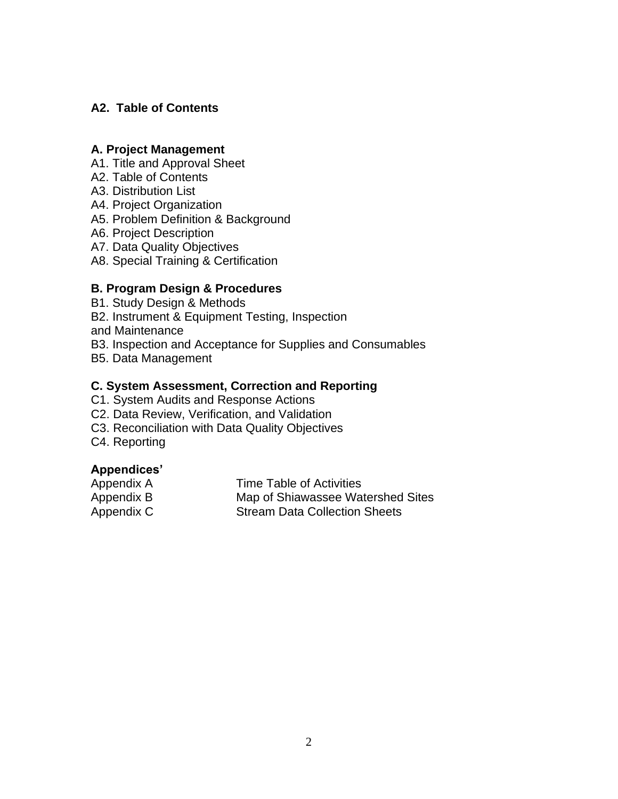# **A2. Table of Contents**

### **A. Project Management**

- A1. Title and Approval Sheet
- A2. Table of Contents
- A3. Distribution List
- A4. Project Organization
- A5. Problem Definition & Background
- A6. Project Description
- A7. Data Quality Objectives
- A8. Special Training & Certification

# **B. Program Design & Procedures**

- B1. Study Design & Methods
- B2. Instrument & Equipment Testing, Inspection
- and Maintenance
- B3. Inspection and Acceptance for Supplies and Consumables
- B5. Data Management

## **C. System Assessment, Correction and Reporting**

- C1. System Audits and Response Actions
- C2. Data Review, Verification, and Validation
- C3. Reconciliation with Data Quality Objectives
- C4. Reporting

# **Appendices'**

| Appendix A | Time Table of Activities             |
|------------|--------------------------------------|
| Appendix B | Map of Shiawassee Watershed Sites    |
| Appendix C | <b>Stream Data Collection Sheets</b> |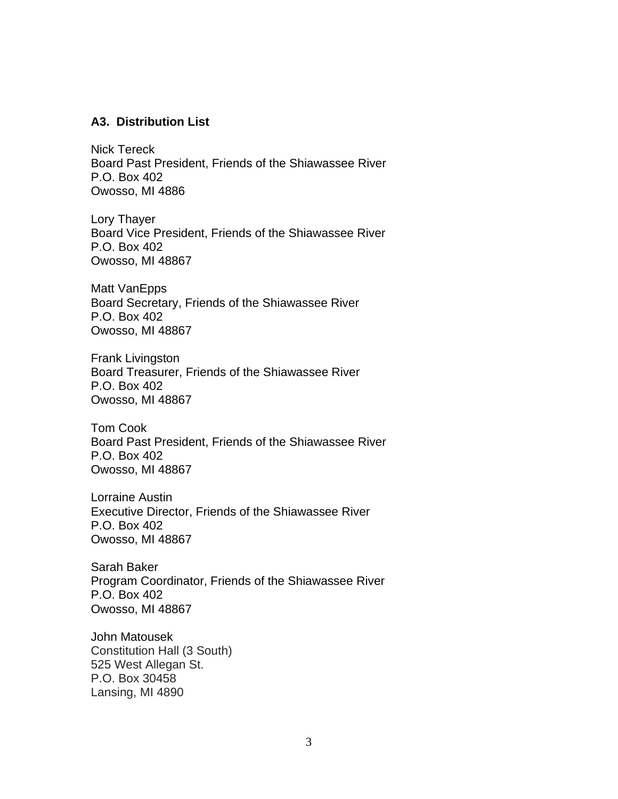#### **A3. Distribution List**

Nick Tereck Board Past President, Friends of the Shiawassee River P.O. Box 402 Owosso, MI 4886

Lory Thayer Board Vice President, Friends of the Shiawassee River P.O. Box 402 Owosso, MI 48867

Matt VanEpps Board Secretary, Friends of the Shiawassee River P.O. Box 402 Owosso, MI 48867

Frank Livingston Board Treasurer, Friends of the Shiawassee River P.O. Box 402 Owosso, MI 48867

Tom Cook Board Past President, Friends of the Shiawassee River P.O. Box 402 Owosso, MI 48867

Lorraine Austin Executive Director, Friends of the Shiawassee River P.O. Box 402 Owosso, MI 48867

Sarah Baker Program Coordinator, Friends of the Shiawassee River P.O. Box 402 Owosso, MI 48867

John Matousek Constitution Hall (3 South) 525 West Allegan St. P.O. Box 30458 Lansing, MI 4890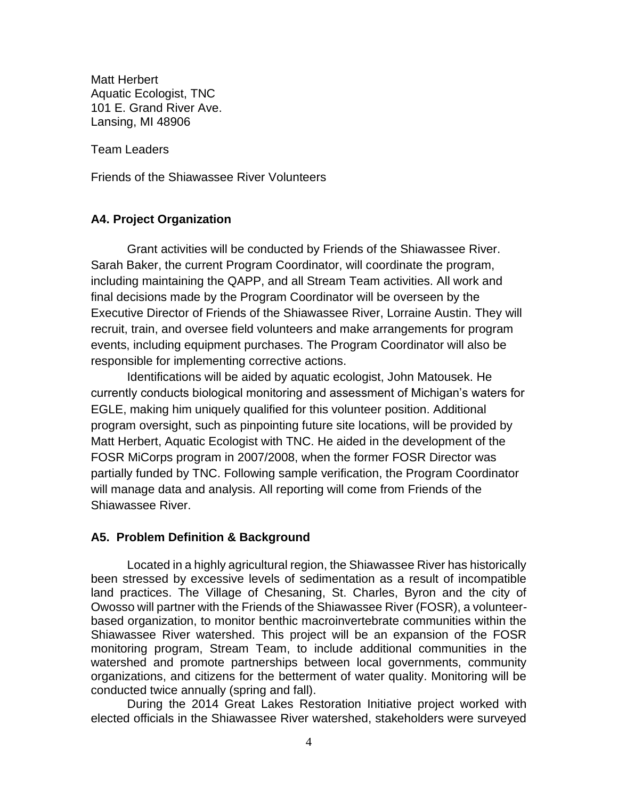Matt Herbert Aquatic Ecologist, TNC 101 E. Grand River Ave. Lansing, MI 48906

Team Leaders

Friends of the Shiawassee River Volunteers

#### **A4. Project Organization**

Grant activities will be conducted by Friends of the Shiawassee River. Sarah Baker, the current Program Coordinator, will coordinate the program, including maintaining the QAPP, and all Stream Team activities. All work and final decisions made by the Program Coordinator will be overseen by the Executive Director of Friends of the Shiawassee River, Lorraine Austin. They will recruit, train, and oversee field volunteers and make arrangements for program events, including equipment purchases. The Program Coordinator will also be responsible for implementing corrective actions.

Identifications will be aided by aquatic ecologist, John Matousek. He currently conducts biological monitoring and assessment of Michigan's waters for EGLE, making him uniquely qualified for this volunteer position. Additional program oversight, such as pinpointing future site locations, will be provided by Matt Herbert, Aquatic Ecologist with TNC. He aided in the development of the FOSR MiCorps program in 2007/2008, when the former FOSR Director was partially funded by TNC. Following sample verification, the Program Coordinator will manage data and analysis. All reporting will come from Friends of the Shiawassee River.

#### **A5. Problem Definition & Background**

Located in a highly agricultural region, the Shiawassee River has historically been stressed by excessive levels of sedimentation as a result of incompatible land practices. The Village of Chesaning, St. Charles, Byron and the city of Owosso will partner with the Friends of the Shiawassee River (FOSR), a volunteerbased organization, to monitor benthic macroinvertebrate communities within the Shiawassee River watershed. This project will be an expansion of the FOSR monitoring program, Stream Team, to include additional communities in the watershed and promote partnerships between local governments, community organizations, and citizens for the betterment of water quality. Monitoring will be conducted twice annually (spring and fall).

During the 2014 Great Lakes Restoration Initiative project worked with elected officials in the Shiawassee River watershed, stakeholders were surveyed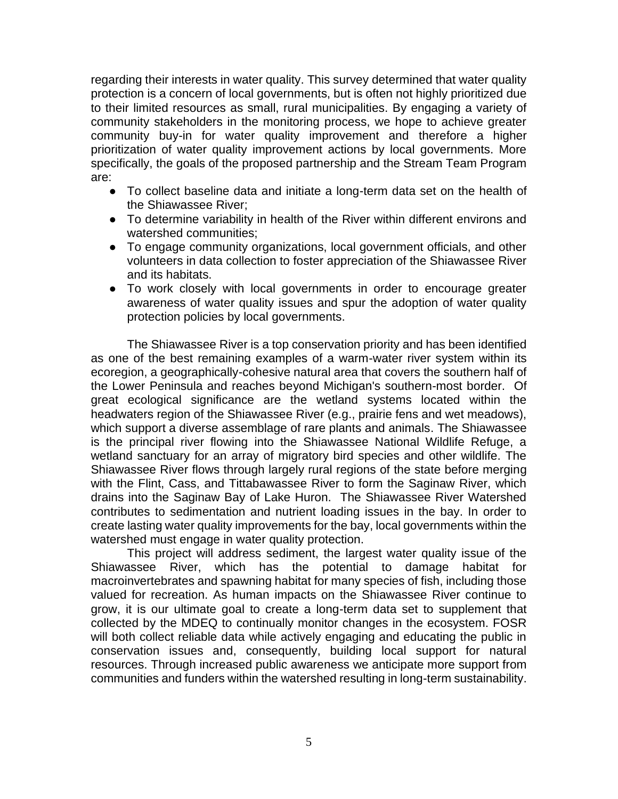regarding their interests in water quality. This survey determined that water quality protection is a concern of local governments, but is often not highly prioritized due to their limited resources as small, rural municipalities. By engaging a variety of community stakeholders in the monitoring process, we hope to achieve greater community buy-in for water quality improvement and therefore a higher prioritization of water quality improvement actions by local governments. More specifically, the goals of the proposed partnership and the Stream Team Program are:

- To collect baseline data and initiate a long-term data set on the health of the Shiawassee River;
- To determine variability in health of the River within different environs and watershed communities;
- To engage community organizations, local government officials, and other volunteers in data collection to foster appreciation of the Shiawassee River and its habitats.
- To work closely with local governments in order to encourage greater awareness of water quality issues and spur the adoption of water quality protection policies by local governments.

The Shiawassee River is a top conservation priority and has been identified as one of the best remaining examples of a warm-water river system within its ecoregion, a geographically-cohesive natural area that covers the southern half of the Lower Peninsula and reaches beyond Michigan's southern-most border. Of great ecological significance are the wetland systems located within the headwaters region of the Shiawassee River (e.g., prairie fens and wet meadows), which support a diverse assemblage of rare plants and animals. The Shiawassee is the principal river flowing into the Shiawassee National Wildlife Refuge, a wetland sanctuary for an array of migratory bird species and other wildlife. The Shiawassee River flows through largely rural regions of the state before merging with the Flint, Cass, and Tittabawassee River to form the Saginaw River, which drains into the Saginaw Bay of Lake Huron. The Shiawassee River Watershed contributes to sedimentation and nutrient loading issues in the bay. In order to create lasting water quality improvements for the bay, local governments within the watershed must engage in water quality protection.

This project will address sediment, the largest water quality issue of the Shiawassee River, which has the potential to damage habitat for macroinvertebrates and spawning habitat for many species of fish, including those valued for recreation. As human impacts on the Shiawassee River continue to grow, it is our ultimate goal to create a long-term data set to supplement that collected by the MDEQ to continually monitor changes in the ecosystem. FOSR will both collect reliable data while actively engaging and educating the public in conservation issues and, consequently, building local support for natural resources. Through increased public awareness we anticipate more support from communities and funders within the watershed resulting in long-term sustainability.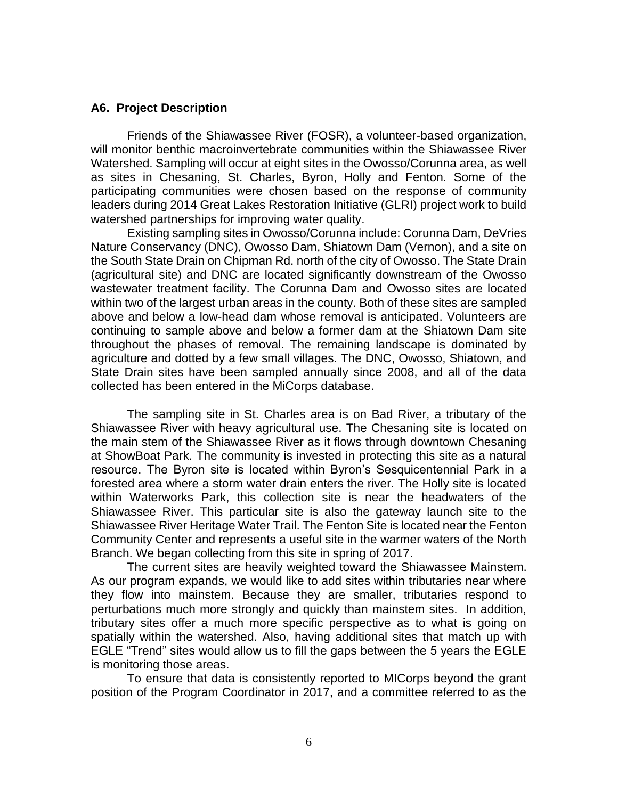#### **A6. Project Description**

Friends of the Shiawassee River (FOSR), a volunteer-based organization, will monitor benthic macroinvertebrate communities within the Shiawassee River Watershed. Sampling will occur at eight sites in the Owosso/Corunna area, as well as sites in Chesaning, St. Charles, Byron, Holly and Fenton. Some of the participating communities were chosen based on the response of community leaders during 2014 Great Lakes Restoration Initiative (GLRI) project work to build watershed partnerships for improving water quality.

Existing sampling sites in Owosso/Corunna include: Corunna Dam, DeVries Nature Conservancy (DNC), Owosso Dam, Shiatown Dam (Vernon), and a site on the South State Drain on Chipman Rd. north of the city of Owosso. The State Drain (agricultural site) and DNC are located significantly downstream of the Owosso wastewater treatment facility. The Corunna Dam and Owosso sites are located within two of the largest urban areas in the county. Both of these sites are sampled above and below a low-head dam whose removal is anticipated. Volunteers are continuing to sample above and below a former dam at the Shiatown Dam site throughout the phases of removal. The remaining landscape is dominated by agriculture and dotted by a few small villages. The DNC, Owosso, Shiatown, and State Drain sites have been sampled annually since 2008, and all of the data collected has been entered in the MiCorps database.

The sampling site in St. Charles area is on Bad River, a tributary of the Shiawassee River with heavy agricultural use. The Chesaning site is located on the main stem of the Shiawassee River as it flows through downtown Chesaning at ShowBoat Park. The community is invested in protecting this site as a natural resource. The Byron site is located within Byron's Sesquicentennial Park in a forested area where a storm water drain enters the river. The Holly site is located within Waterworks Park, this collection site is near the headwaters of the Shiawassee River. This particular site is also the gateway launch site to the Shiawassee River Heritage Water Trail. The Fenton Site is located near the Fenton Community Center and represents a useful site in the warmer waters of the North Branch. We began collecting from this site in spring of 2017.

The current sites are heavily weighted toward the Shiawassee Mainstem. As our program expands, we would like to add sites within tributaries near where they flow into mainstem. Because they are smaller, tributaries respond to perturbations much more strongly and quickly than mainstem sites. In addition, tributary sites offer a much more specific perspective as to what is going on spatially within the watershed. Also, having additional sites that match up with EGLE "Trend" sites would allow us to fill the gaps between the 5 years the EGLE is monitoring those areas.

To ensure that data is consistently reported to MICorps beyond the grant position of the Program Coordinator in 2017, and a committee referred to as the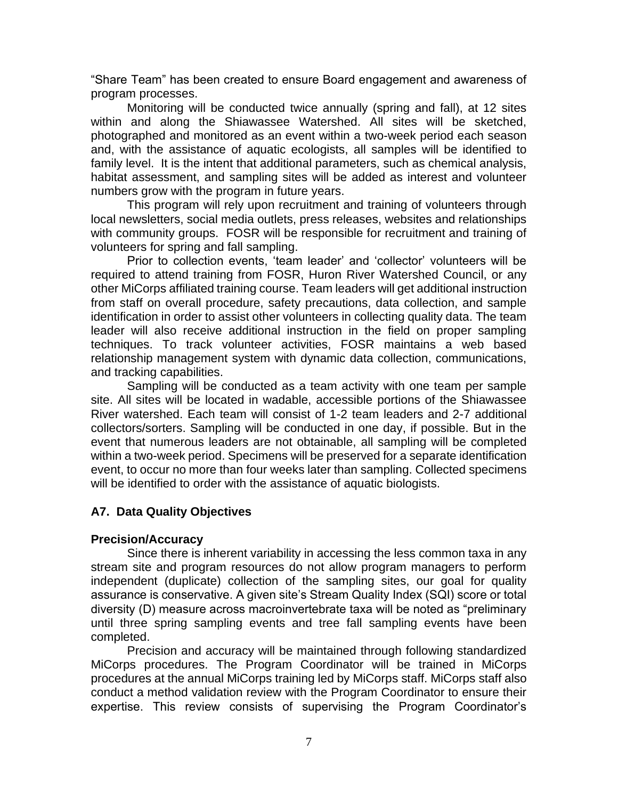"Share Team" has been created to ensure Board engagement and awareness of program processes.

Monitoring will be conducted twice annually (spring and fall), at 12 sites within and along the Shiawassee Watershed. All sites will be sketched, photographed and monitored as an event within a two-week period each season and, with the assistance of aquatic ecologists, all samples will be identified to family level. It is the intent that additional parameters, such as chemical analysis, habitat assessment, and sampling sites will be added as interest and volunteer numbers grow with the program in future years.

This program will rely upon recruitment and training of volunteers through local newsletters, social media outlets, press releases, websites and relationships with community groups. FOSR will be responsible for recruitment and training of volunteers for spring and fall sampling.

Prior to collection events, 'team leader' and 'collector' volunteers will be required to attend training from FOSR, Huron River Watershed Council, or any other MiCorps affiliated training course. Team leaders will get additional instruction from staff on overall procedure, safety precautions, data collection, and sample identification in order to assist other volunteers in collecting quality data. The team leader will also receive additional instruction in the field on proper sampling techniques. To track volunteer activities, FOSR maintains a web based relationship management system with dynamic data collection, communications, and tracking capabilities.

Sampling will be conducted as a team activity with one team per sample site. All sites will be located in wadable, accessible portions of the Shiawassee River watershed. Each team will consist of 1-2 team leaders and 2-7 additional collectors/sorters. Sampling will be conducted in one day, if possible. But in the event that numerous leaders are not obtainable, all sampling will be completed within a two-week period. Specimens will be preserved for a separate identification event, to occur no more than four weeks later than sampling. Collected specimens will be identified to order with the assistance of aquatic biologists.

# **A7. Data Quality Objectives**

### **Precision/Accuracy**

Since there is inherent variability in accessing the less common taxa in any stream site and program resources do not allow program managers to perform independent (duplicate) collection of the sampling sites, our goal for quality assurance is conservative. A given site's Stream Quality Index (SQI) score or total diversity (D) measure across macroinvertebrate taxa will be noted as "preliminary until three spring sampling events and tree fall sampling events have been completed.

Precision and accuracy will be maintained through following standardized MiCorps procedures. The Program Coordinator will be trained in MiCorps procedures at the annual MiCorps training led by MiCorps staff. MiCorps staff also conduct a method validation review with the Program Coordinator to ensure their expertise. This review consists of supervising the Program Coordinator's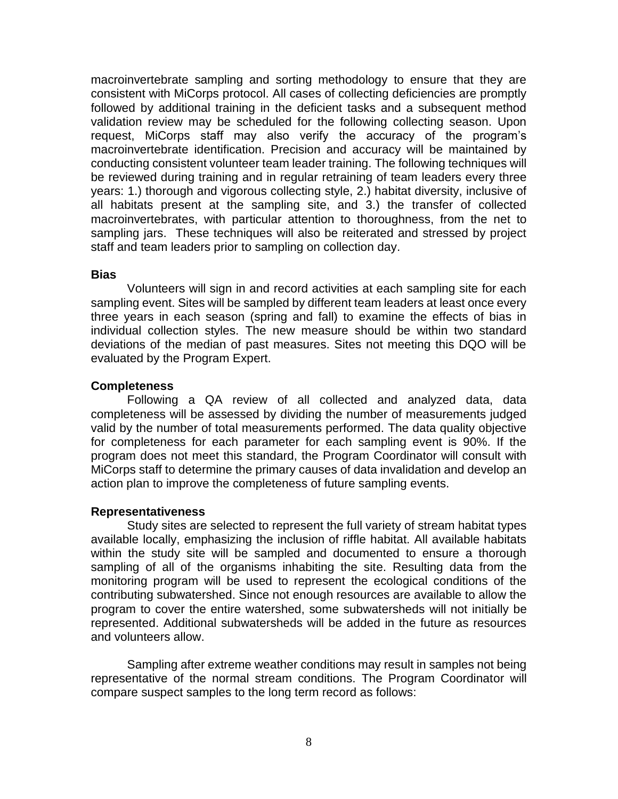macroinvertebrate sampling and sorting methodology to ensure that they are consistent with MiCorps protocol. All cases of collecting deficiencies are promptly followed by additional training in the deficient tasks and a subsequent method validation review may be scheduled for the following collecting season. Upon request, MiCorps staff may also verify the accuracy of the program's macroinvertebrate identification. Precision and accuracy will be maintained by conducting consistent volunteer team leader training. The following techniques will be reviewed during training and in regular retraining of team leaders every three years: 1.) thorough and vigorous collecting style, 2.) habitat diversity, inclusive of all habitats present at the sampling site, and 3.) the transfer of collected macroinvertebrates, with particular attention to thoroughness, from the net to sampling jars. These techniques will also be reiterated and stressed by project staff and team leaders prior to sampling on collection day.

#### **Bias**

Volunteers will sign in and record activities at each sampling site for each sampling event. Sites will be sampled by different team leaders at least once every three years in each season (spring and fall) to examine the effects of bias in individual collection styles. The new measure should be within two standard deviations of the median of past measures. Sites not meeting this DQO will be evaluated by the Program Expert.

#### **Completeness**

Following a QA review of all collected and analyzed data, data completeness will be assessed by dividing the number of measurements judged valid by the number of total measurements performed. The data quality objective for completeness for each parameter for each sampling event is 90%. If the program does not meet this standard, the Program Coordinator will consult with MiCorps staff to determine the primary causes of data invalidation and develop an action plan to improve the completeness of future sampling events.

#### **Representativeness**

Study sites are selected to represent the full variety of stream habitat types available locally, emphasizing the inclusion of riffle habitat. All available habitats within the study site will be sampled and documented to ensure a thorough sampling of all of the organisms inhabiting the site. Resulting data from the monitoring program will be used to represent the ecological conditions of the contributing subwatershed. Since not enough resources are available to allow the program to cover the entire watershed, some subwatersheds will not initially be represented. Additional subwatersheds will be added in the future as resources and volunteers allow.

Sampling after extreme weather conditions may result in samples not being representative of the normal stream conditions. The Program Coordinator will compare suspect samples to the long term record as follows: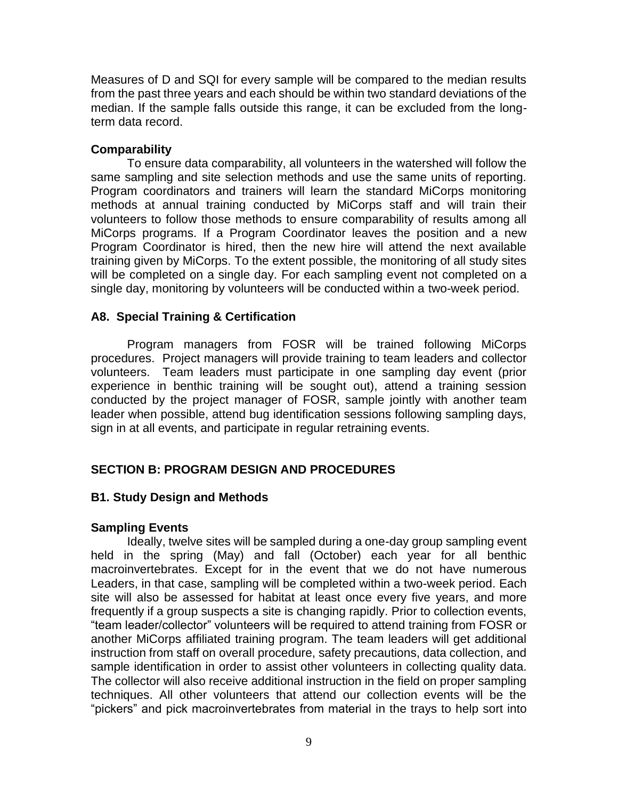Measures of D and SQI for every sample will be compared to the median results from the past three years and each should be within two standard deviations of the median. If the sample falls outside this range, it can be excluded from the longterm data record.

## **Comparability**

To ensure data comparability, all volunteers in the watershed will follow the same sampling and site selection methods and use the same units of reporting. Program coordinators and trainers will learn the standard MiCorps monitoring methods at annual training conducted by MiCorps staff and will train their volunteers to follow those methods to ensure comparability of results among all MiCorps programs. If a Program Coordinator leaves the position and a new Program Coordinator is hired, then the new hire will attend the next available training given by MiCorps. To the extent possible, the monitoring of all study sites will be completed on a single day. For each sampling event not completed on a single day, monitoring by volunteers will be conducted within a two-week period.

## **A8. Special Training & Certification**

Program managers from FOSR will be trained following MiCorps procedures. Project managers will provide training to team leaders and collector volunteers. Team leaders must participate in one sampling day event (prior experience in benthic training will be sought out), attend a training session conducted by the project manager of FOSR, sample jointly with another team leader when possible, attend bug identification sessions following sampling days, sign in at all events, and participate in regular retraining events.

# **SECTION B: PROGRAM DESIGN AND PROCEDURES**

### **B1. Study Design and Methods**

### **Sampling Events**

Ideally, twelve sites will be sampled during a one-day group sampling event held in the spring (May) and fall (October) each year for all benthic macroinvertebrates. Except for in the event that we do not have numerous Leaders, in that case, sampling will be completed within a two-week period. Each site will also be assessed for habitat at least once every five years, and more frequently if a group suspects a site is changing rapidly. Prior to collection events, "team leader/collector" volunteers will be required to attend training from FOSR or another MiCorps affiliated training program. The team leaders will get additional instruction from staff on overall procedure, safety precautions, data collection, and sample identification in order to assist other volunteers in collecting quality data. The collector will also receive additional instruction in the field on proper sampling techniques. All other volunteers that attend our collection events will be the "pickers" and pick macroinvertebrates from material in the trays to help sort into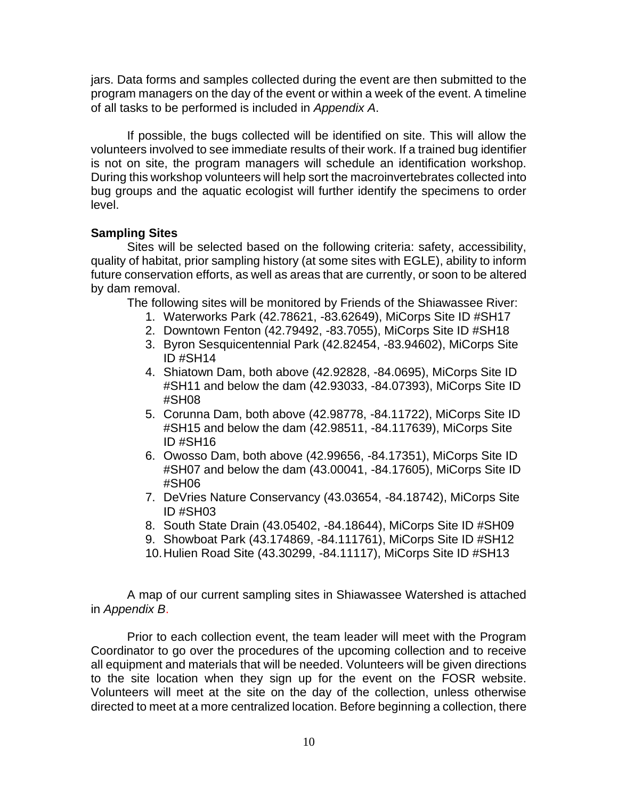jars. Data forms and samples collected during the event are then submitted to the program managers on the day of the event or within a week of the event. A timeline of all tasks to be performed is included in *Appendix A*.

If possible, the bugs collected will be identified on site. This will allow the volunteers involved to see immediate results of their work. If a trained bug identifier is not on site, the program managers will schedule an identification workshop. During this workshop volunteers will help sort the macroinvertebrates collected into bug groups and the aquatic ecologist will further identify the specimens to order level.

### **Sampling Sites**

Sites will be selected based on the following criteria: safety, accessibility, quality of habitat, prior sampling history (at some sites with EGLE), ability to inform future conservation efforts, as well as areas that are currently, or soon to be altered by dam removal.

The following sites will be monitored by Friends of the Shiawassee River:

- 1. Waterworks Park (42.78621, -83.62649), MiCorps Site ID #SH17
- 2. Downtown Fenton (42.79492, -83.7055), MiCorps Site ID #SH18
- 3. Byron Sesquicentennial Park (42.82454, -83.94602), MiCorps Site ID #SH14
- 4. Shiatown Dam, both above (42.92828, -84.0695), MiCorps Site ID #SH11 and below the dam (42.93033, -84.07393), MiCorps Site ID #SH08
- 5. Corunna Dam, both above (42.98778, -84.11722), MiCorps Site ID #SH15 and below the dam (42.98511, -84.117639), MiCorps Site ID #SH16
- 6. Owosso Dam, both above (42.99656, -84.17351), MiCorps Site ID #SH07 and below the dam (43.00041, -84.17605), MiCorps Site ID #SH06
- 7. DeVries Nature Conservancy (43.03654, -84.18742), MiCorps Site ID #SH03
- 8. South State Drain (43.05402, -84.18644), MiCorps Site ID #SH09
- 9. Showboat Park (43.174869, -84.111761), MiCorps Site ID #SH12
- 10.Hulien Road Site (43.30299, -84.11117), MiCorps Site ID #SH13

A map of our current sampling sites in Shiawassee Watershed is attached in *Appendix B*.

Prior to each collection event, the team leader will meet with the Program Coordinator to go over the procedures of the upcoming collection and to receive all equipment and materials that will be needed. Volunteers will be given directions to the site location when they sign up for the event on the FOSR website. Volunteers will meet at the site on the day of the collection, unless otherwise directed to meet at a more centralized location. Before beginning a collection, there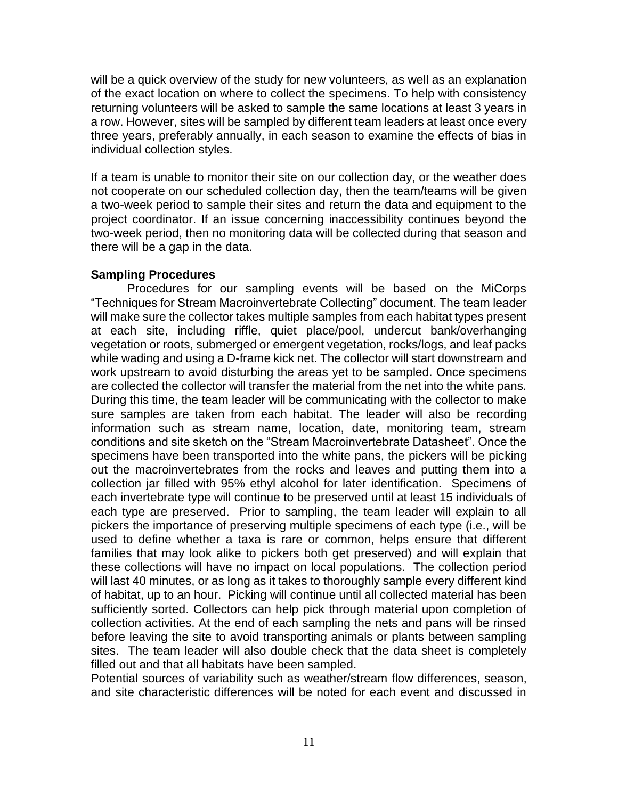will be a quick overview of the study for new volunteers, as well as an explanation of the exact location on where to collect the specimens. To help with consistency returning volunteers will be asked to sample the same locations at least 3 years in a row. However, sites will be sampled by different team leaders at least once every three years, preferably annually, in each season to examine the effects of bias in individual collection styles.

If a team is unable to monitor their site on our collection day, or the weather does not cooperate on our scheduled collection day, then the team/teams will be given a two-week period to sample their sites and return the data and equipment to the project coordinator. If an issue concerning inaccessibility continues beyond the two-week period, then no monitoring data will be collected during that season and there will be a gap in the data.

#### **Sampling Procedures**

Procedures for our sampling events will be based on the MiCorps "Techniques for Stream Macroinvertebrate Collecting" document. The team leader will make sure the collector takes multiple samples from each habitat types present at each site, including riffle, quiet place/pool, undercut bank/overhanging vegetation or roots, submerged or emergent vegetation, rocks/logs, and leaf packs while wading and using a D-frame kick net. The collector will start downstream and work upstream to avoid disturbing the areas yet to be sampled. Once specimens are collected the collector will transfer the material from the net into the white pans. During this time, the team leader will be communicating with the collector to make sure samples are taken from each habitat. The leader will also be recording information such as stream name, location, date, monitoring team, stream conditions and site sketch on the "Stream Macroinvertebrate Datasheet". Once the specimens have been transported into the white pans, the pickers will be picking out the macroinvertebrates from the rocks and leaves and putting them into a collection jar filled with 95% ethyl alcohol for later identification. Specimens of each invertebrate type will continue to be preserved until at least 15 individuals of each type are preserved. Prior to sampling, the team leader will explain to all pickers the importance of preserving multiple specimens of each type (i.e., will be used to define whether a taxa is rare or common, helps ensure that different families that may look alike to pickers both get preserved) and will explain that these collections will have no impact on local populations. The collection period will last 40 minutes, or as long as it takes to thoroughly sample every different kind of habitat, up to an hour. Picking will continue until all collected material has been sufficiently sorted. Collectors can help pick through material upon completion of collection activities. At the end of each sampling the nets and pans will be rinsed before leaving the site to avoid transporting animals or plants between sampling sites. The team leader will also double check that the data sheet is completely filled out and that all habitats have been sampled.

Potential sources of variability such as weather/stream flow differences, season, and site characteristic differences will be noted for each event and discussed in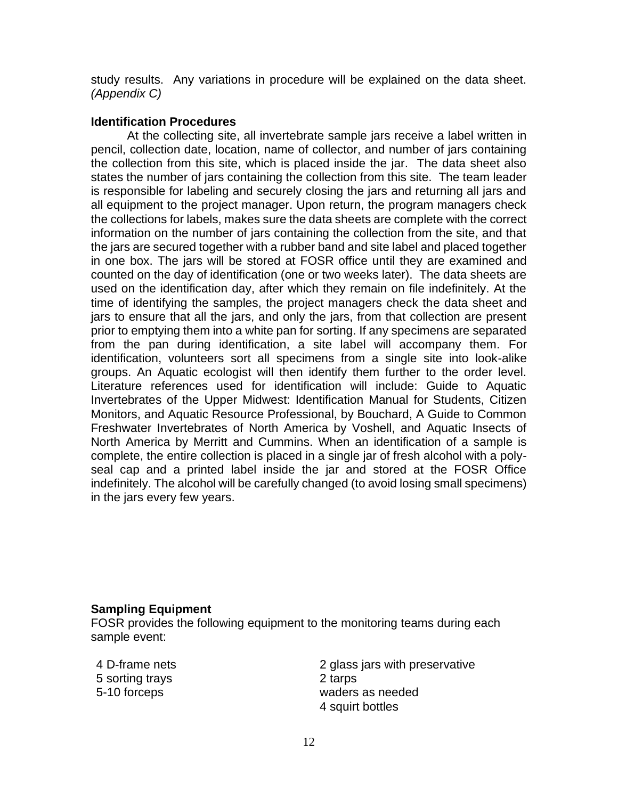study results. Any variations in procedure will be explained on the data sheet. *(Appendix C)*

### **Identification Procedures**

At the collecting site, all invertebrate sample jars receive a label written in pencil, collection date, location, name of collector, and number of jars containing the collection from this site, which is placed inside the jar. The data sheet also states the number of jars containing the collection from this site. The team leader is responsible for labeling and securely closing the jars and returning all jars and all equipment to the project manager. Upon return, the program managers check the collections for labels, makes sure the data sheets are complete with the correct information on the number of jars containing the collection from the site, and that the jars are secured together with a rubber band and site label and placed together in one box. The jars will be stored at FOSR office until they are examined and counted on the day of identification (one or two weeks later). The data sheets are used on the identification day, after which they remain on file indefinitely. At the time of identifying the samples, the project managers check the data sheet and jars to ensure that all the jars, and only the jars, from that collection are present prior to emptying them into a white pan for sorting. If any specimens are separated from the pan during identification, a site label will accompany them. For identification, volunteers sort all specimens from a single site into look-alike groups. An Aquatic ecologist will then identify them further to the order level. Literature references used for identification will include: Guide to Aquatic Invertebrates of the Upper Midwest: Identification Manual for Students, Citizen Monitors, and Aquatic Resource Professional, by Bouchard, A Guide to Common Freshwater Invertebrates of North America by Voshell, and Aquatic Insects of North America by Merritt and Cummins. When an identification of a sample is complete, the entire collection is placed in a single jar of fresh alcohol with a polyseal cap and a printed label inside the jar and stored at the FOSR Office indefinitely. The alcohol will be carefully changed (to avoid losing small specimens) in the jars every few years.

#### **Sampling Equipment**

FOSR provides the following equipment to the monitoring teams during each sample event:

5 sorting trays 2 tarps

4 D-frame nets 2 glass jars with preservative 5-10 forceps waders as needed 4 squirt bottles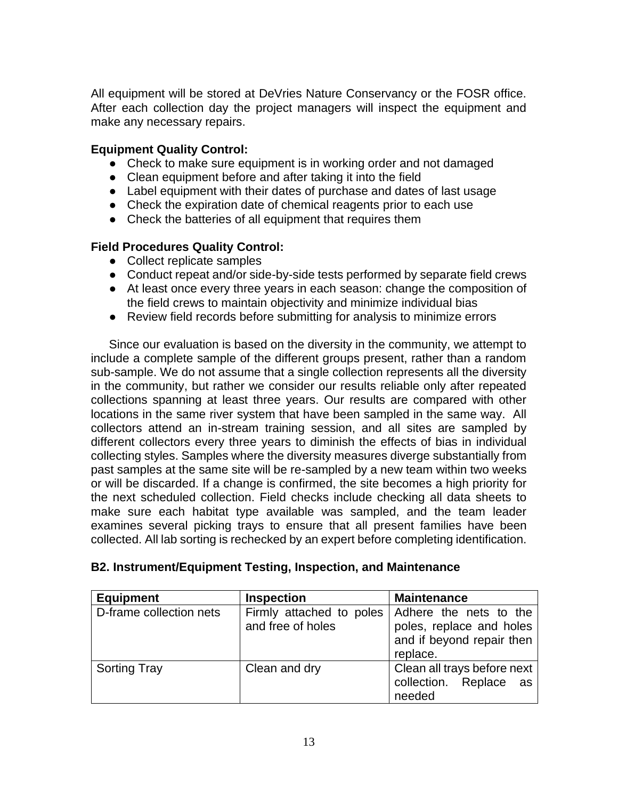All equipment will be stored at DeVries Nature Conservancy or the FOSR office. After each collection day the project managers will inspect the equipment and make any necessary repairs.

## **Equipment Quality Control:**

- Check to make sure equipment is in working order and not damaged
- Clean equipment before and after taking it into the field
- Label equipment with their dates of purchase and dates of last usage
- Check the expiration date of chemical reagents prior to each use
- Check the batteries of all equipment that requires them

## **Field Procedures Quality Control:**

- Collect replicate samples
- Conduct repeat and/or side-by-side tests performed by separate field crews
- At least once every three years in each season: change the composition of the field crews to maintain objectivity and minimize individual bias
- Review field records before submitting for analysis to minimize errors

Since our evaluation is based on the diversity in the community, we attempt to include a complete sample of the different groups present, rather than a random sub-sample. We do not assume that a single collection represents all the diversity in the community, but rather we consider our results reliable only after repeated collections spanning at least three years. Our results are compared with other locations in the same river system that have been sampled in the same way. All collectors attend an in-stream training session, and all sites are sampled by different collectors every three years to diminish the effects of bias in individual collecting styles. Samples where the diversity measures diverge substantially from past samples at the same site will be re-sampled by a new team within two weeks or will be discarded. If a change is confirmed, the site becomes a high priority for the next scheduled collection. Field checks include checking all data sheets to make sure each habitat type available was sampled, and the team leader examines several picking trays to ensure that all present families have been collected. All lab sorting is rechecked by an expert before completing identification.

| B2. Instrument/Equipment Testing, Inspection, and Maintenance |  |  |  |
|---------------------------------------------------------------|--|--|--|
|                                                               |  |  |  |

| <b>Equipment</b>        | <b>Inspection</b>                             | <b>Maintenance</b>                                                                          |
|-------------------------|-----------------------------------------------|---------------------------------------------------------------------------------------------|
| D-frame collection nets | Firmly attached to poles<br>and free of holes | Adhere the nets to the<br>poles, replace and holes<br>and if beyond repair then<br>replace. |
| <b>Sorting Tray</b>     | Clean and dry                                 | Clean all trays before next<br>collection. Replace<br>as<br>needed                          |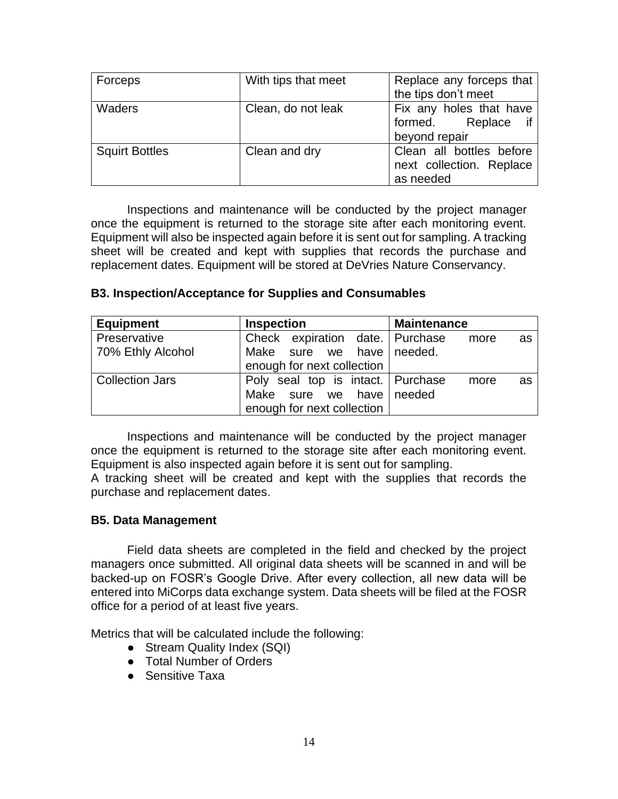| Forceps               | With tips that meet | Replace any forceps that<br>the tips don't meet                   |
|-----------------------|---------------------|-------------------------------------------------------------------|
| Waders                | Clean, do not leak  | Fix any holes that have<br>formed. Replace<br>beyond repair       |
| <b>Squirt Bottles</b> | Clean and dry       | Clean all bottles before<br>next collection. Replace<br>as needed |

Inspections and maintenance will be conducted by the project manager once the equipment is returned to the storage site after each monitoring event. Equipment will also be inspected again before it is sent out for sampling. A tracking sheet will be created and kept with supplies that records the purchase and replacement dates. Equipment will be stored at DeVries Nature Conservancy.

| <b>Equipment</b>  | <b>Inspection</b>                 | <b>Maintenance</b> |
|-------------------|-----------------------------------|--------------------|
| Preservative      | Check expiration date. Purchase   | more<br>as         |
| 70% Ethly Alcohol | Make sure we have needed.         |                    |
|                   | enough for next collection        |                    |
| Collection Jars   | Poly seal top is intact. Purchase | more<br>as         |
|                   | Make sure we have needed          |                    |

#### **B3. Inspection/Acceptance for Supplies and Consumables**

Inspections and maintenance will be conducted by the project manager once the equipment is returned to the storage site after each monitoring event. Equipment is also inspected again before it is sent out for sampling.

enough for next collection

A tracking sheet will be created and kept with the supplies that records the purchase and replacement dates.

#### **B5. Data Management**

Field data sheets are completed in the field and checked by the project managers once submitted. All original data sheets will be scanned in and will be backed-up on FOSR's Google Drive. After every collection, all new data will be entered into MiCorps data exchange system. Data sheets will be filed at the FOSR office for a period of at least five years.

Metrics that will be calculated include the following:

- Stream Quality Index (SQI)
- Total Number of Orders
- Sensitive Taxa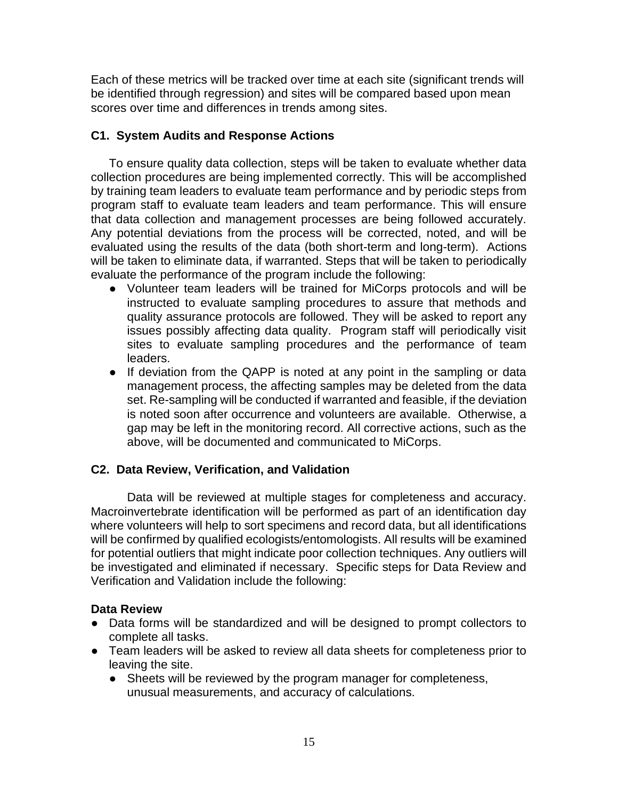Each of these metrics will be tracked over time at each site (significant trends will be identified through regression) and sites will be compared based upon mean scores over time and differences in trends among sites.

## **C1. System Audits and Response Actions**

To ensure quality data collection, steps will be taken to evaluate whether data collection procedures are being implemented correctly. This will be accomplished by training team leaders to evaluate team performance and by periodic steps from program staff to evaluate team leaders and team performance. This will ensure that data collection and management processes are being followed accurately. Any potential deviations from the process will be corrected, noted, and will be evaluated using the results of the data (both short-term and long-term). Actions will be taken to eliminate data, if warranted. Steps that will be taken to periodically evaluate the performance of the program include the following:

- Volunteer team leaders will be trained for MiCorps protocols and will be instructed to evaluate sampling procedures to assure that methods and quality assurance protocols are followed. They will be asked to report any issues possibly affecting data quality. Program staff will periodically visit sites to evaluate sampling procedures and the performance of team leaders.
- If deviation from the QAPP is noted at any point in the sampling or data management process, the affecting samples may be deleted from the data set. Re-sampling will be conducted if warranted and feasible, if the deviation is noted soon after occurrence and volunteers are available. Otherwise, a gap may be left in the monitoring record. All corrective actions, such as the above, will be documented and communicated to MiCorps.

# **C2. Data Review, Verification, and Validation**

Data will be reviewed at multiple stages for completeness and accuracy. Macroinvertebrate identification will be performed as part of an identification day where volunteers will help to sort specimens and record data, but all identifications will be confirmed by qualified ecologists/entomologists. All results will be examined for potential outliers that might indicate poor collection techniques. Any outliers will be investigated and eliminated if necessary. Specific steps for Data Review and Verification and Validation include the following:

### **Data Review**

- Data forms will be standardized and will be designed to prompt collectors to complete all tasks.
- Team leaders will be asked to review all data sheets for completeness prior to leaving the site.
	- Sheets will be reviewed by the program manager for completeness, unusual measurements, and accuracy of calculations.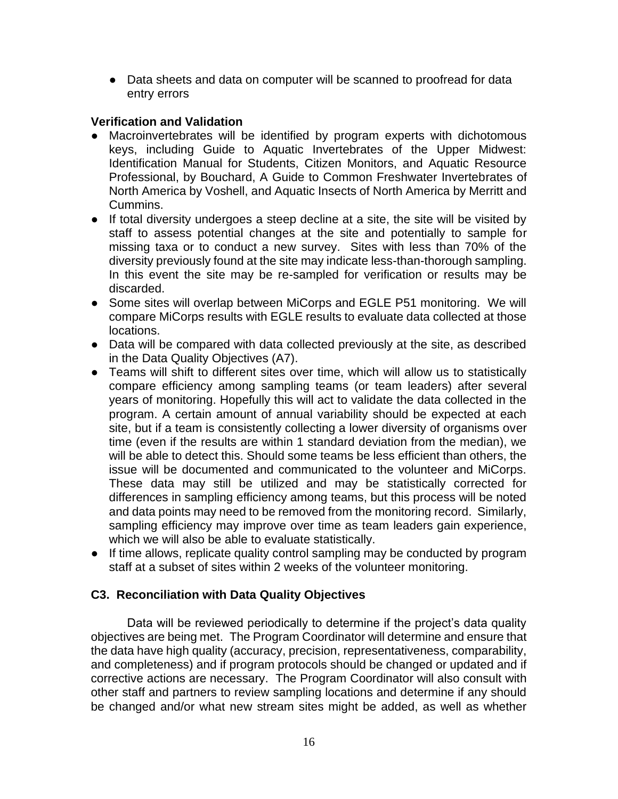• Data sheets and data on computer will be scanned to proofread for data entry errors

### **Verification and Validation**

- Macroinvertebrates will be identified by program experts with dichotomous keys, including Guide to Aquatic Invertebrates of the Upper Midwest: Identification Manual for Students, Citizen Monitors, and Aquatic Resource Professional, by Bouchard, A Guide to Common Freshwater Invertebrates of North America by Voshell, and Aquatic Insects of North America by Merritt and Cummins.
- If total diversity undergoes a steep decline at a site, the site will be visited by staff to assess potential changes at the site and potentially to sample for missing taxa or to conduct a new survey. Sites with less than 70% of the diversity previously found at the site may indicate less-than-thorough sampling. In this event the site may be re-sampled for verification or results may be discarded.
- Some sites will overlap between MiCorps and EGLE P51 monitoring. We will compare MiCorps results with EGLE results to evaluate data collected at those locations.
- Data will be compared with data collected previously at the site, as described in the Data Quality Objectives (A7).
- Teams will shift to different sites over time, which will allow us to statistically compare efficiency among sampling teams (or team leaders) after several years of monitoring. Hopefully this will act to validate the data collected in the program. A certain amount of annual variability should be expected at each site, but if a team is consistently collecting a lower diversity of organisms over time (even if the results are within 1 standard deviation from the median), we will be able to detect this. Should some teams be less efficient than others, the issue will be documented and communicated to the volunteer and MiCorps. These data may still be utilized and may be statistically corrected for differences in sampling efficiency among teams, but this process will be noted and data points may need to be removed from the monitoring record. Similarly, sampling efficiency may improve over time as team leaders gain experience, which we will also be able to evaluate statistically.
- If time allows, replicate quality control sampling may be conducted by program staff at a subset of sites within 2 weeks of the volunteer monitoring.

### **C3. Reconciliation with Data Quality Objectives**

Data will be reviewed periodically to determine if the project's data quality objectives are being met. The Program Coordinator will determine and ensure that the data have high quality (accuracy, precision, representativeness, comparability, and completeness) and if program protocols should be changed or updated and if corrective actions are necessary. The Program Coordinator will also consult with other staff and partners to review sampling locations and determine if any should be changed and/or what new stream sites might be added, as well as whether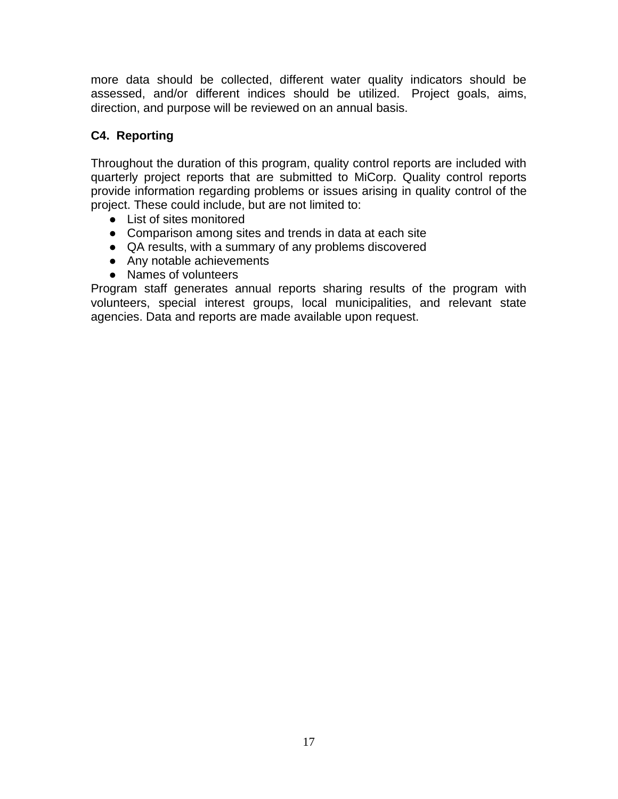more data should be collected, different water quality indicators should be assessed, and/or different indices should be utilized. Project goals, aims, direction, and purpose will be reviewed on an annual basis.

# **C4. Reporting**

Throughout the duration of this program, quality control reports are included with quarterly project reports that are submitted to MiCorp. Quality control reports provide information regarding problems or issues arising in quality control of the project. These could include, but are not limited to:

- List of sites monitored
- Comparison among sites and trends in data at each site
- QA results, with a summary of any problems discovered
- Any notable achievements
- Names of volunteers

Program staff generates annual reports sharing results of the program with volunteers, special interest groups, local municipalities, and relevant state agencies. Data and reports are made available upon request.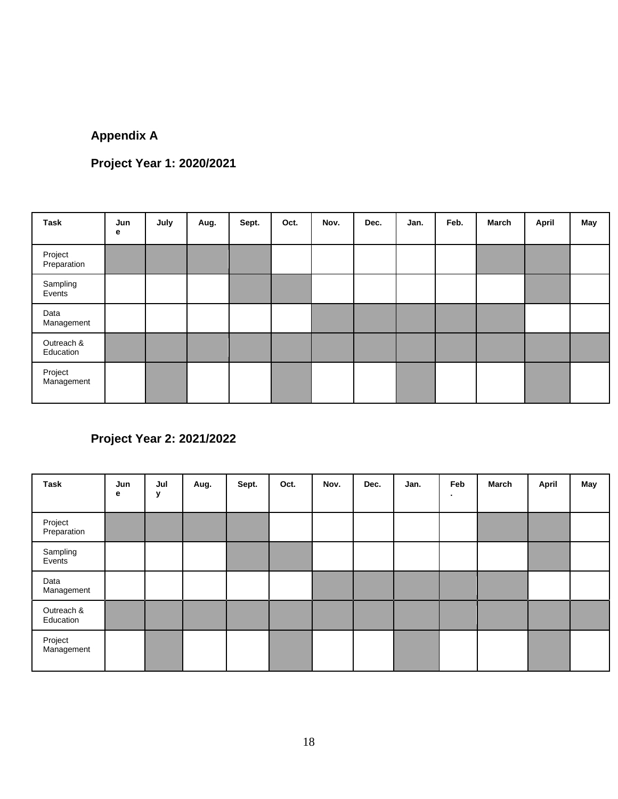# **Appendix A**

# **Project Year 1: 2020/2021**

| Task                    | Jun<br>е | July | Aug. | Sept. | Oct. | Nov. | Dec. | Jan. | Feb. | March | <b>April</b> | May |
|-------------------------|----------|------|------|-------|------|------|------|------|------|-------|--------------|-----|
| Project<br>Preparation  |          |      |      |       |      |      |      |      |      |       |              |     |
| Sampling<br>Events      |          |      |      |       |      |      |      |      |      |       |              |     |
| Data<br>Management      |          |      |      |       |      |      |      |      |      |       |              |     |
| Outreach &<br>Education |          |      |      |       |      |      |      |      |      |       |              |     |
| Project<br>Management   |          |      |      |       |      |      |      |      |      |       |              |     |

# **Project Year 2: 2021/2022**

| Task                    | Jun<br>е | Jul<br>У | Aug. | Sept. | Oct. | Nov. | Dec. | Jan. | Feb<br>٠ | March | April | May |
|-------------------------|----------|----------|------|-------|------|------|------|------|----------|-------|-------|-----|
| Project<br>Preparation  |          |          |      |       |      |      |      |      |          |       |       |     |
| Sampling<br>Events      |          |          |      |       |      |      |      |      |          |       |       |     |
| Data<br>Management      |          |          |      |       |      |      |      |      |          |       |       |     |
| Outreach &<br>Education |          |          |      |       |      |      |      |      |          |       |       |     |
| Project<br>Management   |          |          |      |       |      |      |      |      |          |       |       |     |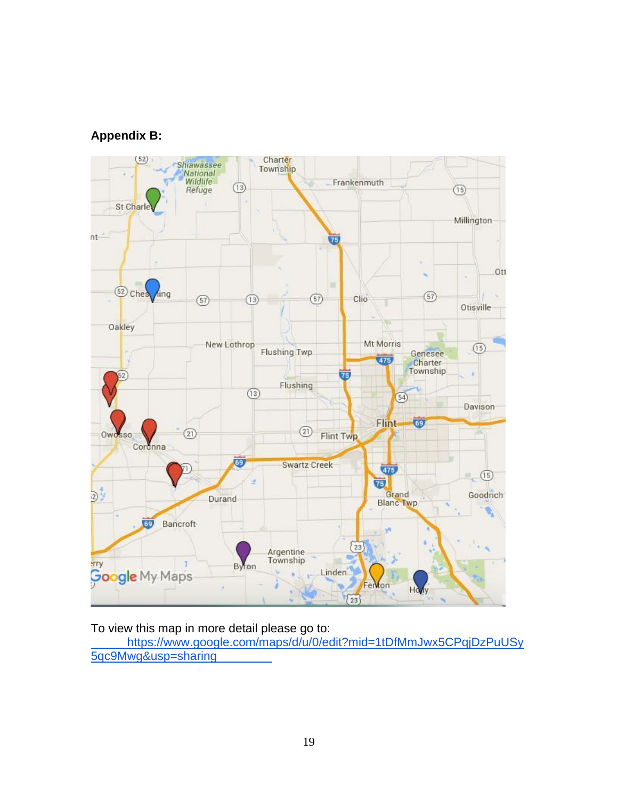# **Appendix B:**



To view this map in more detail please go to:

[https://www.google.com/maps/d/u/0/edit?mid=1tDfMmJwx5CPqjDzPuUSy](https://www.google.com/maps/d/edit?mid=1tDfMmJwx5CPqjDzPuUSy5qc9Mwg&usp=sharing) [5qc9Mwg&usp=sharing](https://www.google.com/maps/d/edit?mid=1tDfMmJwx5CPqjDzPuUSy5qc9Mwg&usp=sharing)